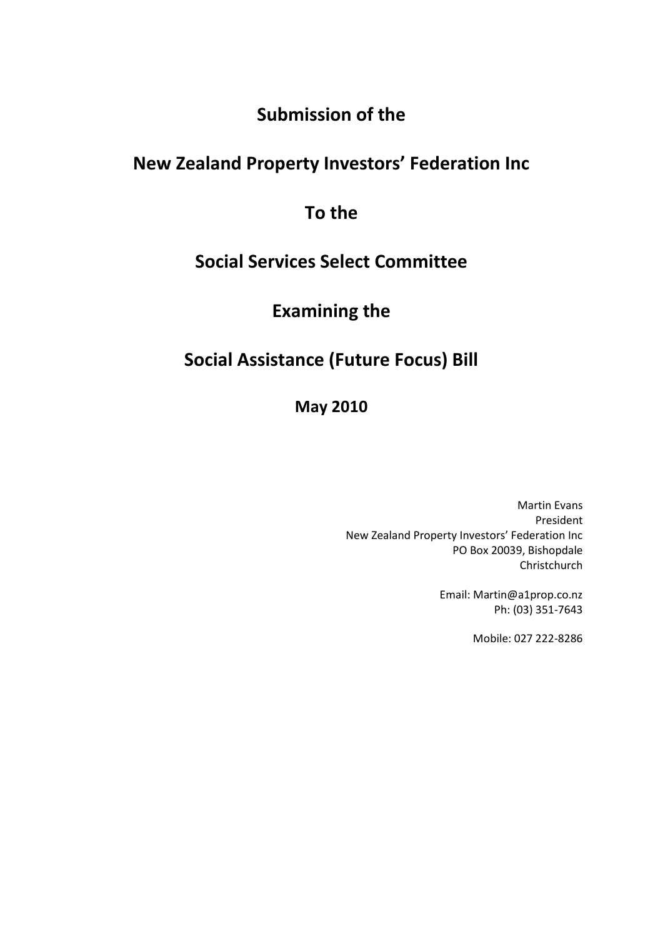## **Submission of the**

# **New Zealand Property Investors' Federation Inc**

## **To the**

# **Social Services Select Committee**

# **Examining the**

# **Social Assistance (Future Focus) Bill**

## **May 2010**

Martin Evans President New Zealand Property Investors' Federation Inc PO Box 20039, Bishopdale Christchurch

> Email: Martin@a1prop.co.nz Ph: (03) 351-7643

> > Mobile: 027 222-8286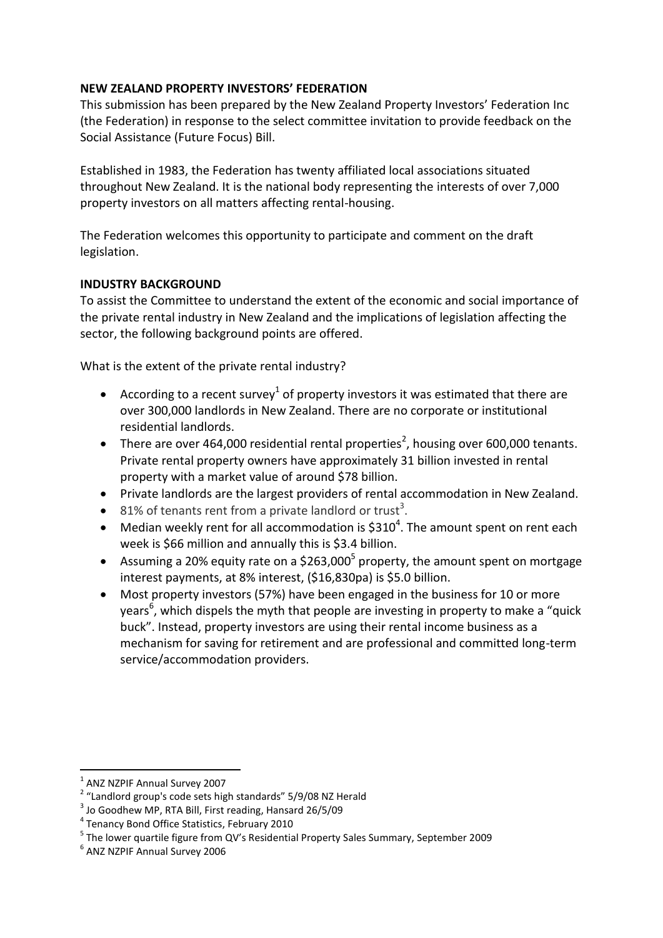#### **NEW ZEALAND PROPERTY INVESTORS' FEDERATION**

This submission has been prepared by the New Zealand Property Investors' Federation Inc (the Federation) in response to the select committee invitation to provide feedback on the Social Assistance (Future Focus) Bill.

Established in 1983, the Federation has twenty affiliated local associations situated throughout New Zealand. It is the national body representing the interests of over 7,000 property investors on all matters affecting rental-housing.

The Federation welcomes this opportunity to participate and comment on the draft legislation.

#### **INDUSTRY BACKGROUND**

To assist the Committee to understand the extent of the economic and social importance of the private rental industry in New Zealand and the implications of legislation affecting the sector, the following background points are offered.

What is the extent of the private rental industry?

- According to a recent survey<sup>1</sup> of property investors it was estimated that there are over 300,000 landlords in New Zealand. There are no corporate or institutional residential landlords.
- There are over 464,000 residential rental properties<sup>2</sup>, housing over 600,000 tenants. Private rental property owners have approximately 31 billion invested in rental property with a market value of around \$78 billion.
- Private landlords are the largest providers of rental accommodation in New Zealand.
- $\bullet$  81% of tenants rent from a private landlord or trust<sup>3</sup>.
- Median weekly rent for all accommodation is  $$310<sup>4</sup>$ . The amount spent on rent each week is \$66 million and annually this is \$3.4 billion.
- Assuming a 20% equity rate on a \$263,000<sup>5</sup> property, the amount spent on mortgage interest payments, at 8% interest, (\$16,830pa) is \$5.0 billion.
- Most property investors (57%) have been engaged in the business for 10 or more years<sup>6</sup>, which dispels the myth that people are investing in property to make a "quick buck". Instead, property investors are using their rental income business as a mechanism for saving for retirement and are professional and committed long-term service/accommodation providers.

<sup>1</sup> <sup>1</sup> ANZ NZPIF Annual Survey 2007

<sup>&</sup>lt;sup>2</sup> "Landlord group's code sets high standards" 5/9/08 NZ Herald

<sup>3</sup> Jo Goodhew MP, RTA Bill, First reading, Hansard 26/5/09

<sup>4</sup> Tenancy Bond Office Statistics, February 2010

<sup>&</sup>lt;sup>5</sup> The lower quartile figure from QV's Residential Property Sales Summary, September 2009

<sup>6</sup> ANZ NZPIF Annual Survey 2006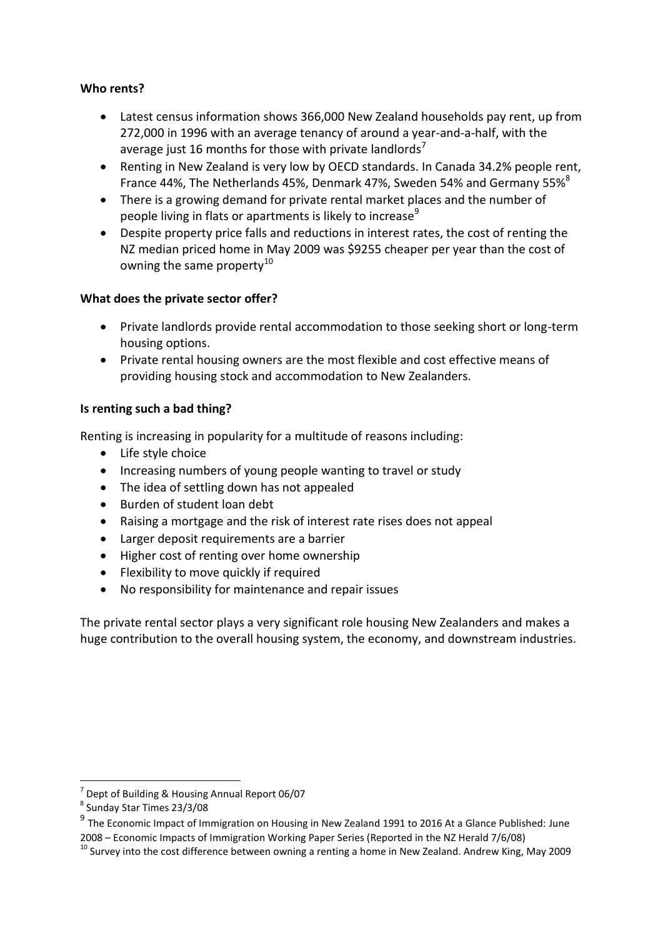### **Who rents?**

- Latest census information shows 366,000 New Zealand households pay rent, up from 272,000 in 1996 with an average tenancy of around a year-and-a-half, with the average just 16 months for those with private landlords<sup>1</sup>
- Renting in New Zealand is very low by OECD standards. In Canada 34.2% people rent, France 44%, The Netherlands 45%, Denmark 47%, Sweden 54% and Germany 55%<sup>8</sup>
- There is a growing demand for private rental market places and the number of people living in flats or apartments is likely to increase<sup>9</sup>
- Despite property price falls and reductions in interest rates, the cost of renting the NZ median priced home in May 2009 was \$9255 cheaper per year than the cost of owning the same property $10$

## **What does the private sector offer?**

- Private landlords provide rental accommodation to those seeking short or long-term housing options.
- Private rental housing owners are the most flexible and cost effective means of providing housing stock and accommodation to New Zealanders.

## **Is renting such a bad thing?**

Renting is increasing in popularity for a multitude of reasons including:

- Life style choice
- Increasing numbers of young people wanting to travel or study
- The idea of settling down has not appealed
- Burden of student loan debt
- Raising a mortgage and the risk of interest rate rises does not appeal
- Larger deposit requirements are a barrier
- Higher cost of renting over home ownership
- Flexibility to move quickly if required
- No responsibility for maintenance and repair issues

The private rental sector plays a very significant role housing New Zealanders and makes a huge contribution to the overall housing system, the economy, and downstream industries.

<sup>-</sup><sup>7</sup> Dept of Building & Housing Annual Report 06/07

<sup>8</sup> Sunday Star Times 23/3/08

<sup>&</sup>lt;sup>9</sup> The Economic Impact of Immigration on Housing in New Zealand 1991 to 2016 At a Glance Published: June 2008 – Economic Impacts of Immigration Working Paper Series (Reported in the NZ Herald 7/6/08)

<sup>&</sup>lt;sup>10</sup> Survey into the cost difference between owning a renting a home in New Zealand. Andrew King, May 2009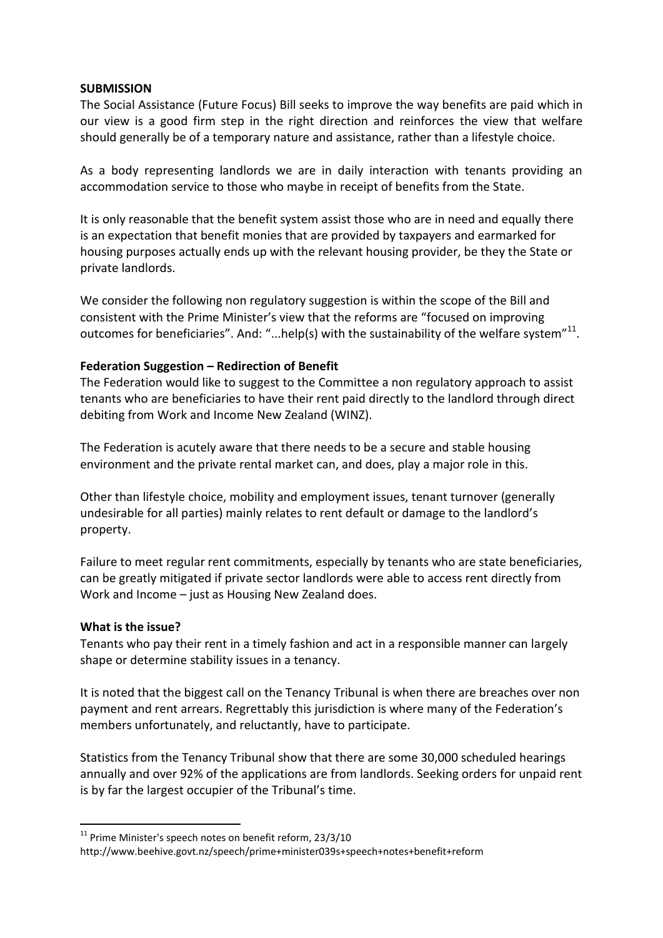#### **SUBMISSION**

The Social Assistance (Future Focus) Bill seeks to improve the way benefits are paid which in our view is a good firm step in the right direction and reinforces the view that welfare should generally be of a temporary nature and assistance, rather than a lifestyle choice.

As a body representing landlords we are in daily interaction with tenants providing an accommodation service to those who maybe in receipt of benefits from the State.

It is only reasonable that the benefit system assist those who are in need and equally there is an expectation that benefit monies that are provided by taxpayers and earmarked for housing purposes actually ends up with the relevant housing provider, be they the State or private landlords.

We consider the following non regulatory suggestion is within the scope of the Bill and consistent with the Prime Minister's view that the reforms are "focused on improving outcomes for beneficiaries". And: "...help(s) with the sustainability of the welfare system"<sup>11</sup>.

#### **Federation Suggestion – Redirection of Benefit**

The Federation would like to suggest to the Committee a non regulatory approach to assist tenants who are beneficiaries to have their rent paid directly to the landlord through direct debiting from Work and Income New Zealand (WINZ).

The Federation is acutely aware that there needs to be a secure and stable housing environment and the private rental market can, and does, play a major role in this.

Other than lifestyle choice, mobility and employment issues, tenant turnover (generally undesirable for all parties) mainly relates to rent default or damage to the landlord's property.

Failure to meet regular rent commitments, especially by tenants who are state beneficiaries, can be greatly mitigated if private sector landlords were able to access rent directly from Work and Income – just as Housing New Zealand does.

#### **What is the issue?**

-

Tenants who pay their rent in a timely fashion and act in a responsible manner can largely shape or determine stability issues in a tenancy.

It is noted that the biggest call on the Tenancy Tribunal is when there are breaches over non payment and rent arrears. Regrettably this jurisdiction is where many of the Federation's members unfortunately, and reluctantly, have to participate.

Statistics from the Tenancy Tribunal show that there are some 30,000 scheduled hearings annually and over 92% of the applications are from landlords. Seeking orders for unpaid rent is by far the largest occupier of the Tribunal's time.

 $11$  Prime Minister's speech notes on benefit reform, 23/3/10

http://www.beehive.govt.nz/speech/prime+minister039s+speech+notes+benefit+reform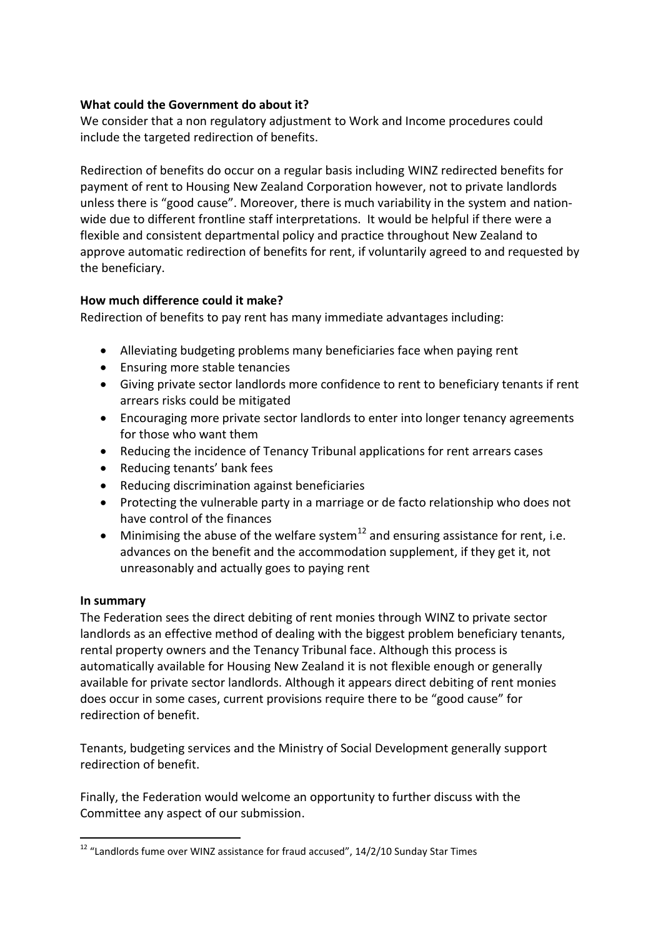### **What could the Government do about it?**

We consider that a non regulatory adjustment to Work and Income procedures could include the targeted redirection of benefits.

Redirection of benefits do occur on a regular basis including WINZ redirected benefits for payment of rent to Housing New Zealand Corporation however, not to private landlords unless there is "good cause". Moreover, there is much variability in the system and nationwide due to different frontline staff interpretations. It would be helpful if there were a flexible and consistent departmental policy and practice throughout New Zealand to approve automatic redirection of benefits for rent, if voluntarily agreed to and requested by the beneficiary.

## **How much difference could it make?**

Redirection of benefits to pay rent has many immediate advantages including:

- Alleviating budgeting problems many beneficiaries face when paying rent
- Ensuring more stable tenancies
- Giving private sector landlords more confidence to rent to beneficiary tenants if rent arrears risks could be mitigated
- Encouraging more private sector landlords to enter into longer tenancy agreements for those who want them
- Reducing the incidence of Tenancy Tribunal applications for rent arrears cases
- Reducing tenants' bank fees
- Reducing discrimination against beneficiaries
- Protecting the vulnerable party in a marriage or de facto relationship who does not have control of the finances
- $\bullet$  Minimising the abuse of the welfare system<sup>12</sup> and ensuring assistance for rent, i.e. advances on the benefit and the accommodation supplement, if they get it, not unreasonably and actually goes to paying rent

### **In summary**

The Federation sees the direct debiting of rent monies through WINZ to private sector landlords as an effective method of dealing with the biggest problem beneficiary tenants, rental property owners and the Tenancy Tribunal face. Although this process is automatically available for Housing New Zealand it is not flexible enough or generally available for private sector landlords. Although it appears direct debiting of rent monies does occur in some cases, current provisions require there to be "good cause" for redirection of benefit.

Tenants, budgeting services and the Ministry of Social Development generally support redirection of benefit.

Finally, the Federation would welcome an opportunity to further discuss with the Committee any aspect of our submission.

<sup>1</sup>  $12$  "Landlords fume over WINZ assistance for fraud accused",  $14/2/10$  Sunday Star Times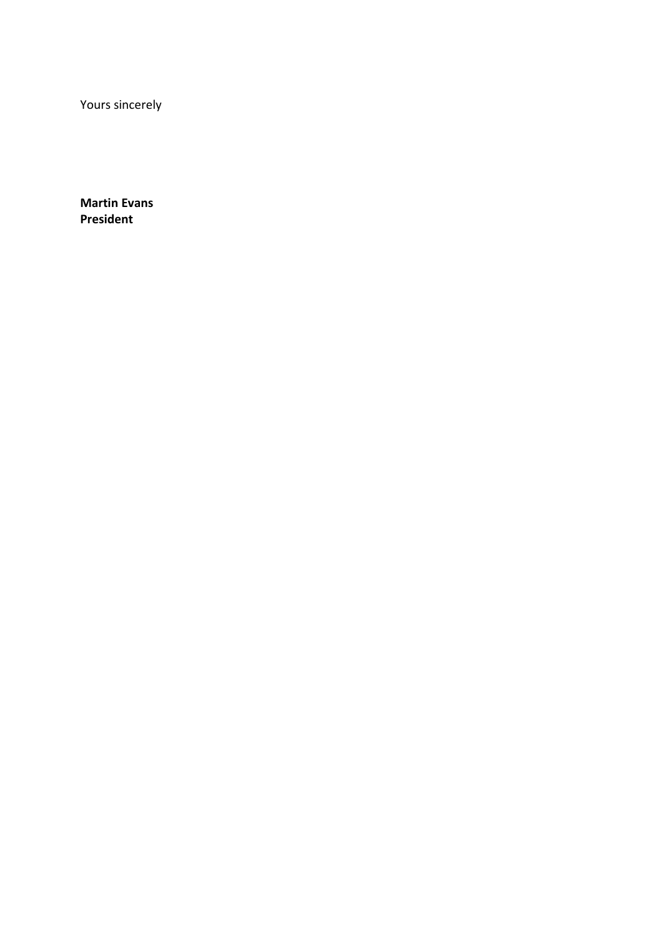Yours sincerely

**Martin Evans President**